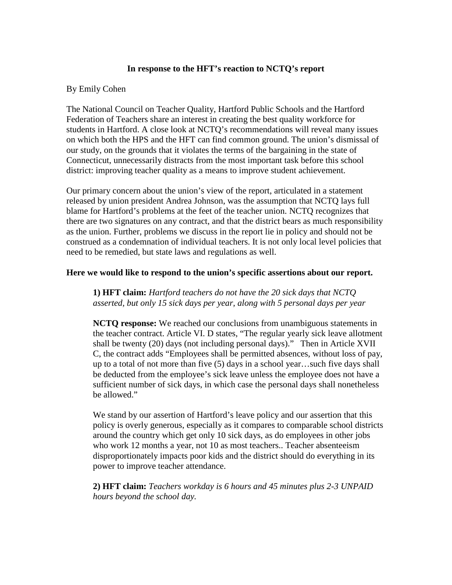## **In response to the HFT's reaction to NCTQ's report**

## By Emily Cohen

The National Council on Teacher Quality, Hartford Public Schools and the Hartford Federation of Teachers share an interest in creating the best quality workforce for students in Hartford. A close look at NCTQ's recommendations will reveal many issues on which both the HPS and the HFT can find common ground. The union's dismissal of our study, on the grounds that it violates the terms of the bargaining in the state of Connecticut, unnecessarily distracts from the most important task before this school district: improving teacher quality as a means to improve student achievement.

Our primary concern about the union's view of the report, articulated in a statement released by union president Andrea Johnson, was the assumption that NCTQ lays full blame for Hartford's problems at the feet of the teacher union. NCTQ recognizes that there are two signatures on any contract, and that the district bears as much responsibility as the union. Further, problems we discuss in the report lie in policy and should not be construed as a condemnation of individual teachers. It is not only local level policies that need to be remedied, but state laws and regulations as well.

## **Here we would like to respond to the union's specific assertions about our report.**

**1) HFT claim:** *Hartford teachers do not have the 20 sick days that NCTQ asserted, but only 15 sick days per year, along with 5 personal days per year* 

**NCTQ response:** We reached our conclusions from unambiguous statements in the teacher contract. Article VI. D states, "The regular yearly sick leave allotment shall be twenty (20) days (not including personal days)." Then in Article XVII C, the contract adds "Employees shall be permitted absences, without loss of pay, up to a total of not more than five (5) days in a school year…such five days shall be deducted from the employee's sick leave unless the employee does not have a sufficient number of sick days, in which case the personal days shall nonetheless be allowed."

We stand by our assertion of Hartford's leave policy and our assertion that this policy is overly generous, especially as it compares to comparable school districts around the country which get only 10 sick days, as do employees in other jobs who work 12 months a year, not 10 as most teachers.. Teacher absenteeism disproportionately impacts poor kids and the district should do everything in its power to improve teacher attendance.

**2) HFT claim:** *Teachers workday is 6 hours and 45 minutes plus 2-3 UNPAID hours beyond the school day.*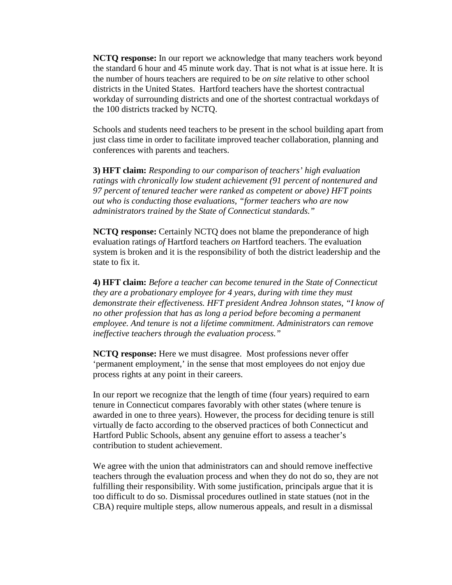**NCTQ response:** In our report we acknowledge that many teachers work beyond the standard 6 hour and 45 minute work day. That is not what is at issue here. It is the number of hours teachers are required to be *on site* relative to other school districts in the United States. Hartford teachers have the shortest contractual workday of surrounding districts and one of the shortest contractual workdays of the 100 districts tracked by NCTQ.

Schools and students need teachers to be present in the school building apart from just class time in order to facilitate improved teacher collaboration, planning and conferences with parents and teachers.

**3) HFT claim:** *Responding to our comparison of teachers' high evaluation ratings with chronically low student achievement (91 percent of nontenured and 97 percent of tenured teacher were ranked as competent or above) HFT points out who is conducting those evaluations, "former teachers who are now administrators trained by the State of Connecticut standards."*

**NCTQ response:** Certainly NCTQ does not blame the preponderance of high evaluation ratings *of* Hartford teachers *on* Hartford teachers. The evaluation system is broken and it is the responsibility of both the district leadership and the state to fix it.

**4) HFT claim:** *Before a teacher can become tenured in the State of Connecticut they are a probationary employee for 4 years, during with time they must demonstrate their effectiveness. HFT president Andrea Johnson states, "I know of no other profession that has as long a period before becoming a permanent employee. And tenure is not a lifetime commitment. Administrators can remove ineffective teachers through the evaluation process."*

**NCTQ response:** Here we must disagree. Most professions never offer 'permanent employment,' in the sense that most employees do not enjoy due process rights at any point in their careers.

In our report we recognize that the length of time (four years) required to earn tenure in Connecticut compares favorably with other states (where tenure is awarded in one to three years). However, the process for deciding tenure is still virtually de facto according to the observed practices of both Connecticut and Hartford Public Schools, absent any genuine effort to assess a teacher's contribution to student achievement.

We agree with the union that administrators can and should remove ineffective teachers through the evaluation process and when they do not do so, they are not fulfilling their responsibility. With some justification, principals argue that it is too difficult to do so. Dismissal procedures outlined in state statues (not in the CBA) require multiple steps, allow numerous appeals, and result in a dismissal